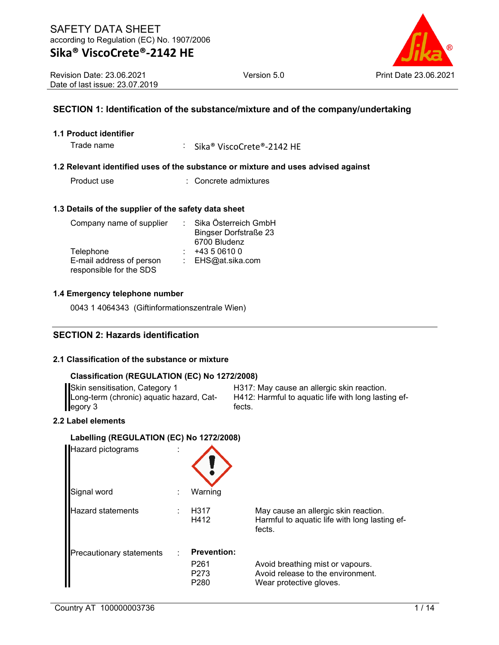

Revision Date: 23.06.2021 Date of last issue: 23.07.2019

## **SECTION 1: Identification of the substance/mixture and of the company/undertaking**

### **1.1 Product identifier**

Trade name : Sika® ViscoCrete®-2142 HE

### **1.2 Relevant identified uses of the substance or mixture and uses advised against**

| Product use | : Concrete admixtures |
|-------------|-----------------------|
|             |                       |

### **1.3 Details of the supplier of the safety data sheet**

| Company name of supplier | Sika Österreich GmbH         |
|--------------------------|------------------------------|
|                          | <b>Bingser Dorfstraße 23</b> |
|                          | 6700 Bludenz                 |
| Telephone                | +43 5 0610 0                 |
| E-mail address of person | : EHS@at.sika.com            |
| responsible for the SDS  |                              |

#### **1.4 Emergency telephone number**

0043 1 4064343 (Giftinformationszentrale Wien)

## **SECTION 2: Hazards identification**

### **2.1 Classification of the substance or mixture**

## **Classification (REGULATION (EC) No 1272/2008)**

| Skin sensitisation, Category 1           | H317: May o       |
|------------------------------------------|-------------------|
| Long-term (chronic) aquatic hazard, Cat- | <b>H412: Harm</b> |
| egory 3                                  | fects.            |

cause an allergic skin reaction. ful to aquatic life with long lasting ef-

### **2.2 Label elements**

#### **Labelling (REGULATION (EC) No 1272/2008)**

| Hazard pictograms               |   |                                                                                |                                                                                                  |
|---------------------------------|---|--------------------------------------------------------------------------------|--------------------------------------------------------------------------------------------------|
| Signal word                     | ÷ | Warning                                                                        |                                                                                                  |
| <b>Hazard statements</b>        | ٠ | H317<br>H412                                                                   | May cause an allergic skin reaction.<br>Harmful to aquatic life with long lasting ef-<br>fects.  |
| <b>Precautionary statements</b> |   | <b>Prevention:</b><br>P <sub>261</sub><br>P <sub>273</sub><br>P <sub>280</sub> | Avoid breathing mist or vapours.<br>Avoid release to the environment.<br>Wear protective gloves. |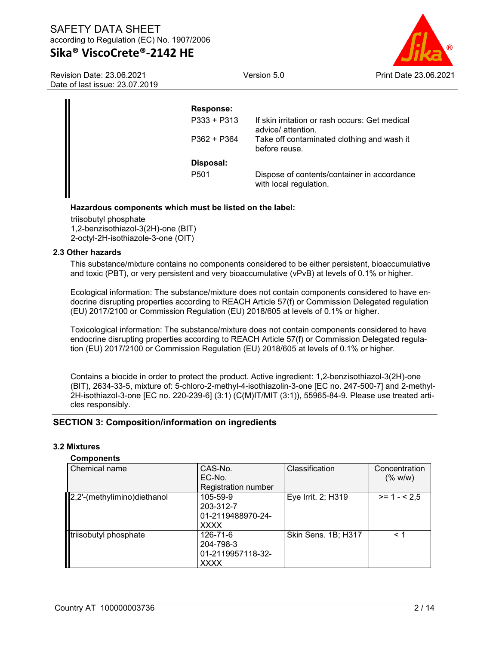Version 5.0 Print Date 23.06.2021

Revision Date: 23.06.2021 Date of last issue: 23.07.2019

| <b>Response:</b> |                                                                       |
|------------------|-----------------------------------------------------------------------|
| $P333 + P313$    | If skin irritation or rash occurs: Get medical<br>advice/ attention.  |
| $P362 + P364$    | Take off contaminated clothing and wash it<br>before reuse.           |
| Disposal:        |                                                                       |
| P <sub>501</sub> | Dispose of contents/container in accordance<br>with local regulation. |
|                  |                                                                       |

## **Hazardous components which must be listed on the label:**

triisobutyl phosphate 1,2-benzisothiazol-3(2H)-one (BIT) 2-octyl-2H-isothiazole-3-one (OIT)

### **2.3 Other hazards**

This substance/mixture contains no components considered to be either persistent, bioaccumulative and toxic (PBT), or very persistent and very bioaccumulative (vPvB) at levels of 0.1% or higher.

Ecological information: The substance/mixture does not contain components considered to have endocrine disrupting properties according to REACH Article 57(f) or Commission Delegated regulation (EU) 2017/2100 or Commission Regulation (EU) 2018/605 at levels of 0.1% or higher.

Toxicological information: The substance/mixture does not contain components considered to have endocrine disrupting properties according to REACH Article 57(f) or Commission Delegated regulation (EU) 2017/2100 or Commission Regulation (EU) 2018/605 at levels of 0.1% or higher.

Contains a biocide in order to protect the product. Active ingredient: 1,2-benzisothiazol-3(2H)-one (BIT), 2634-33-5, mixture of: 5-chloro-2-methyl-4-isothiazolin-3-one [EC no. 247-500-7] and 2-methyl-2H-isothiazol-3-one [EC no. 220-239-6] (3:1) (C(M)IT/MIT (3:1)), 55965-84-9. Please use treated articles responsibly.

## **SECTION 3: Composition/information on ingredients**

## **3.2 Mixtures**

#### **Components**

| Chemical name               | CAS-No.<br>EC-No.                                         | Classification      | Concentration<br>(% w/w) |
|-----------------------------|-----------------------------------------------------------|---------------------|--------------------------|
|                             | <b>Registration number</b>                                |                     |                          |
| 2,2'-(methylimino)diethanol | 105-59-9<br>203-312-7<br>01-2119488970-24-<br><b>XXXX</b> | Eye Irrit. 2; H319  | $>= 1 - 2.5$             |
| triisobutyl phosphate       | 126-71-6<br>204-798-3<br>01-2119957118-32-<br><b>XXXX</b> | Skin Sens. 1B; H317 | < 1                      |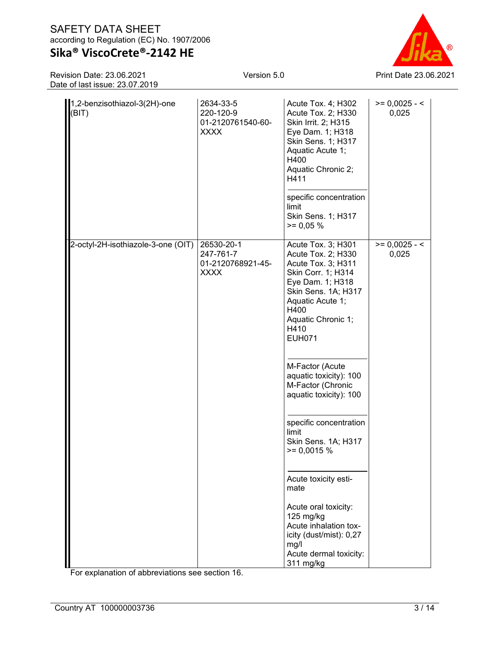## **Sika® ViscoCrete®-2142 HE**

Revision Date: 23.06.2021 Date of last issue: 23.07.2019

| 1,2-benzisothiazol-3(2H)-one<br>(BIT) | 2634-33-5<br>220-120-9<br>01-2120761540-60-<br><b>XXXX</b>  | Acute Tox. 4; H302<br>Acute Tox. 2; H330<br>Skin Irrit. 2; H315<br>Eye Dam. 1; H318<br>Skin Sens. 1; H317<br>Aquatic Acute 1;<br>H400<br>Aquatic Chronic 2;<br>H411<br>specific concentration<br>limit<br>Skin Sens. 1; H317<br>$>= 0,05%$                                                                                                                                                                                                                | $>= 0,0025 - 5$<br>0,025 |
|---------------------------------------|-------------------------------------------------------------|-----------------------------------------------------------------------------------------------------------------------------------------------------------------------------------------------------------------------------------------------------------------------------------------------------------------------------------------------------------------------------------------------------------------------------------------------------------|--------------------------|
| 2-octyl-2H-isothiazole-3-one (OIT)    | 26530-20-1<br>247-761-7<br>01-2120768921-45-<br><b>XXXX</b> | Acute Tox. 3; H301<br>Acute Tox. 2; H330<br>Acute Tox. 3; H311<br>Skin Corr. 1; H314<br>Eye Dam. 1; H318<br>Skin Sens. 1A; H317<br>Aquatic Acute 1;<br>H400<br>Aquatic Chronic 1;<br>H410<br><b>EUH071</b><br>M-Factor (Acute<br>aquatic toxicity): 100<br>M-Factor (Chronic<br>aquatic toxicity): 100<br>specific concentration<br>limit<br>Skin Sens. 1A; H317<br>$\ge$ = 0,0015 %<br>Acute toxicity esti-<br>mate<br>Acute oral toxicity:<br>125 mg/kg | $>= 0,0025 - 5$<br>0,025 |
|                                       |                                                             | Acute inhalation tox-<br>icity (dust/mist): 0,27<br>mg/l<br>Acute dermal toxicity:<br>311 mg/kg                                                                                                                                                                                                                                                                                                                                                           |                          |

For explanation of abbreviations see section 16.

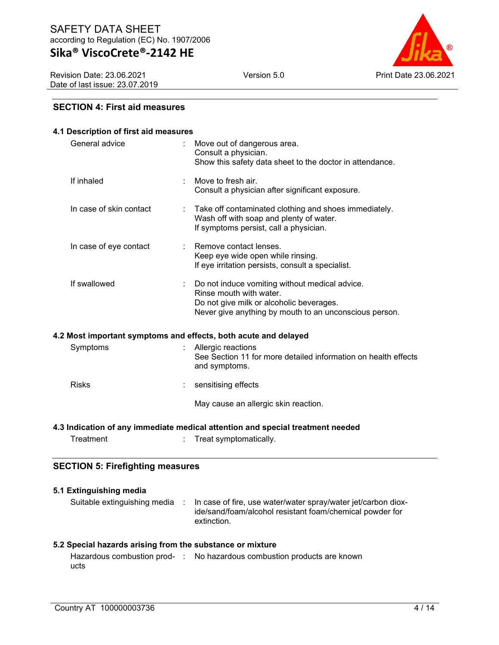Revision Date: 23.06.2021 Date of last issue: 23.07.2019



## **SECTION 4: First aid measures**

| 4.1 Description of first aid measures   |                                                                                                                                                                                 |  |
|-----------------------------------------|---------------------------------------------------------------------------------------------------------------------------------------------------------------------------------|--|
| General advice                          | Move out of dangerous area.<br>÷<br>Consult a physician.<br>Show this safety data sheet to the doctor in attendance.                                                            |  |
| If inhaled                              | Move to fresh air.<br>Consult a physician after significant exposure.                                                                                                           |  |
| In case of skin contact                 | Take off contaminated clothing and shoes immediately.<br>÷<br>Wash off with soap and plenty of water.<br>If symptoms persist, call a physician.                                 |  |
| In case of eye contact                  | Remove contact lenses.<br>Keep eye wide open while rinsing.<br>If eye irritation persists, consult a specialist.                                                                |  |
| If swallowed                            | Do not induce vomiting without medical advice.<br>Rinse mouth with water.<br>Do not give milk or alcoholic beverages.<br>Never give anything by mouth to an unconscious person. |  |
|                                         | 4.2 Most important symptoms and effects, both acute and delayed                                                                                                                 |  |
| Symptoms                                | Allergic reactions<br>See Section 11 for more detailed information on health effects<br>and symptoms.                                                                           |  |
| <b>Risks</b>                            | sensitising effects                                                                                                                                                             |  |
|                                         | May cause an allergic skin reaction.                                                                                                                                            |  |
|                                         | 4.3 Indication of any immediate medical attention and special treatment needed                                                                                                  |  |
| Treatment                               | Treat symptomatically.                                                                                                                                                          |  |
| <b>SECTION 5: Firefighting measures</b> |                                                                                                                                                                                 |  |

| 5.1 Extinguishing media                                   |                                                                                                                                          |
|-----------------------------------------------------------|------------------------------------------------------------------------------------------------------------------------------------------|
| Suitable extinguishing media :                            | In case of fire, use water/water spray/water jet/carbon diox-<br>ide/sand/foam/alcohol resistant foam/chemical powder for<br>extinction. |
| 5.2 Special hazards arising from the substance or mixture |                                                                                                                                          |

|      | Hazardous combustion prod- : No hazardous combustion products are known |
|------|-------------------------------------------------------------------------|
| ucts |                                                                         |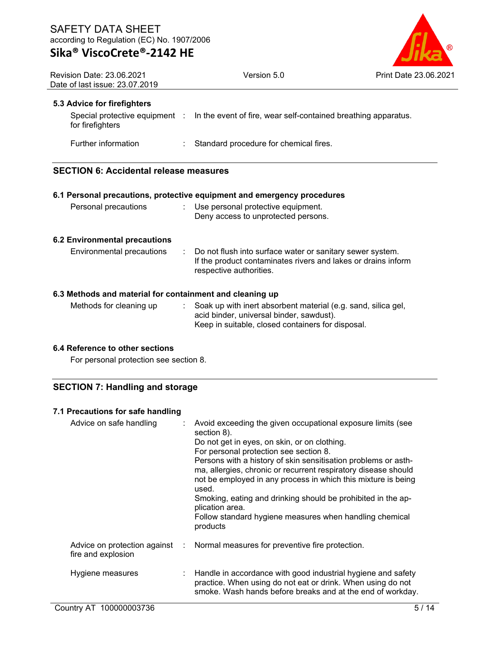

| <b>Revision Date: 23.06.2021</b><br>Date of last issue: 23.07.2019 | Version 5.0                                                                                                                                             | Print Date 23.06.2021 |
|--------------------------------------------------------------------|---------------------------------------------------------------------------------------------------------------------------------------------------------|-----------------------|
| 5.3 Advice for firefighters                                        |                                                                                                                                                         |                       |
| for firefighters                                                   | Special protective equipment : In the event of fire, wear self-contained breathing apparatus.                                                           |                       |
| Further information                                                | : Standard procedure for chemical fires.                                                                                                                |                       |
| <b>SECTION 6: Accidental release measures</b>                      |                                                                                                                                                         |                       |
|                                                                    | 6.1 Personal precautions, protective equipment and emergency procedures                                                                                 |                       |
| Personal precautions                                               | : Use personal protective equipment.<br>Deny access to unprotected persons.                                                                             |                       |
| <b>6.2 Environmental precautions</b>                               |                                                                                                                                                         |                       |
| Environmental precautions                                          | : Do not flush into surface water or sanitary sewer system.<br>If the product contaminates rivers and lakes or drains inform<br>respective authorities. |                       |
| 6.3 Methods and material for containment and cleaning up           |                                                                                                                                                         |                       |
|                                                                    | Methode for electing up . Cook up with inert ebecthent meterial (e.g. cand. eilige and                                                                  |                       |

| Methods for cleaning up | Soak up with inert absorbent material (e.g. sand, silica gel, |
|-------------------------|---------------------------------------------------------------|
|                         | acid binder, universal binder, sawdust).                      |
|                         | Keep in suitable, closed containers for disposal.             |

## **6.4 Reference to other sections**

For personal protection see section 8.

## **SECTION 7: Handling and storage**

## **7.1 Precautions for safe handling**

| Advice on safe handling | : Avoid exceeding the given occupational exposure limits (see<br>section 8).<br>Do not get in eyes, on skin, or on clothing.<br>For personal protection see section 8.<br>Persons with a history of skin sensitisation problems or asth-<br>ma, allergies, chronic or recurrent respiratory disease should<br>not be employed in any process in which this mixture is being<br>used.<br>Smoking, eating and drinking should be prohibited in the ap-<br>plication area.<br>Follow standard hygiene measures when handling chemical<br>products |
|-------------------------|------------------------------------------------------------------------------------------------------------------------------------------------------------------------------------------------------------------------------------------------------------------------------------------------------------------------------------------------------------------------------------------------------------------------------------------------------------------------------------------------------------------------------------------------|
| fire and explosion      | Advice on protection against : Normal measures for preventive fire protection.                                                                                                                                                                                                                                                                                                                                                                                                                                                                 |
| Hygiene measures        | Handle in accordance with good industrial hygiene and safety<br>practice. When using do not eat or drink. When using do not<br>smoke. Wash hands before breaks and at the end of workday.                                                                                                                                                                                                                                                                                                                                                      |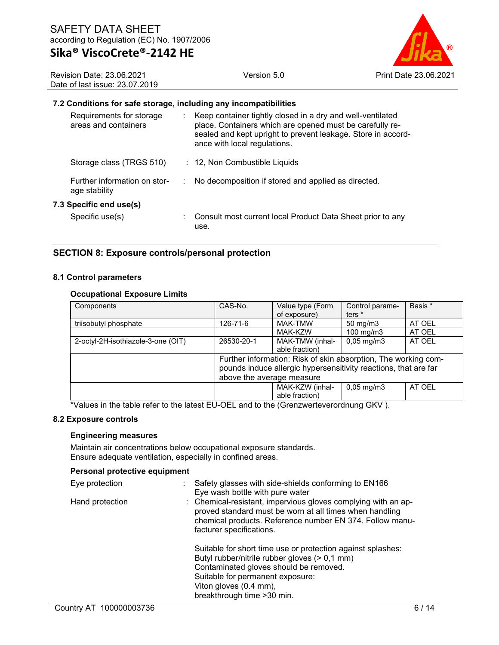

Revision Date: 23.06.2021 Date of last issue: 23.07.2019

#### **7.2 Conditions for safe storage, including any incompatibilities**

| Requirements for storage<br>areas and containers | : Keep container tightly closed in a dry and well-ventilated<br>place. Containers which are opened must be carefully re-<br>sealed and kept upright to prevent leakage. Store in accord-<br>ance with local regulations. |
|--------------------------------------------------|--------------------------------------------------------------------------------------------------------------------------------------------------------------------------------------------------------------------------|
| Storage class (TRGS 510)                         | : 12, Non Combustible Liquids                                                                                                                                                                                            |
| Further information on stor-<br>age stability    | No decomposition if stored and applied as directed.                                                                                                                                                                      |
| 7.3 Specific end use(s)                          |                                                                                                                                                                                                                          |
| Specific use(s)                                  | : Consult most current local Product Data Sheet prior to any<br>use.                                                                                                                                                     |

## **SECTION 8: Exposure controls/personal protection**

#### **8.1 Control parameters**

#### **Occupational Exposure Limits**

| Components                         | CAS-No.                                                         | Value type (Form<br>of exposure) | Control parame-<br>ters $*$ | Basis * |
|------------------------------------|-----------------------------------------------------------------|----------------------------------|-----------------------------|---------|
|                                    |                                                                 |                                  |                             |         |
| triisobutyl phosphate              | 126-71-6                                                        | MAK-TMW                          | $50 \text{ mg/m}$           | AT OEL  |
|                                    |                                                                 | MAK-KZW                          | 100 mg/m3                   | AT OEL  |
| 2-octyl-2H-isothiazole-3-one (OIT) | 26530-20-1                                                      | MAK-TMW (inhal-                  | $0,05 \,\mathrm{mg/m}$      | AT OEL  |
|                                    |                                                                 | able fraction)                   |                             |         |
|                                    | Further information: Risk of skin absorption, The working com-  |                                  |                             |         |
|                                    | pounds induce allergic hypersensitivity reactions, that are far |                                  |                             |         |
|                                    | above the average measure                                       |                                  |                             |         |
|                                    |                                                                 | MAK-KZW (inhal-                  | $0,05 \,\mathrm{mg/m3}$     | AT OEL  |
|                                    |                                                                 | able fraction)                   |                             |         |

\*Values in the table refer to the latest EU-OEL and to the (Grenzwerteverordnung GKV ).

#### **8.2 Exposure controls**

#### **Engineering measures**

Maintain air concentrations below occupational exposure standards. Ensure adequate ventilation, especially in confined areas.

#### **Personal protective equipment**

| Eye protection  | Safety glasses with side-shields conforming to EN166<br>Eye wash bottle with pure water                                                                                                                          |
|-----------------|------------------------------------------------------------------------------------------------------------------------------------------------------------------------------------------------------------------|
| Hand protection | : Chemical-resistant, impervious gloves complying with an ap-<br>proved standard must be worn at all times when handling<br>chemical products. Reference number EN 374. Follow manu-<br>facturer specifications. |
|                 | Suitable for short time use or protection against splashes:<br>Butyl rubber/nitrile rubber gloves (> 0,1 mm)                                                                                                     |
|                 | Contaminated gloves should be removed.                                                                                                                                                                           |
|                 | Suitable for permanent exposure:                                                                                                                                                                                 |
|                 | Viton gloves (0.4 mm),                                                                                                                                                                                           |
|                 | breakthrough time > 30 min.                                                                                                                                                                                      |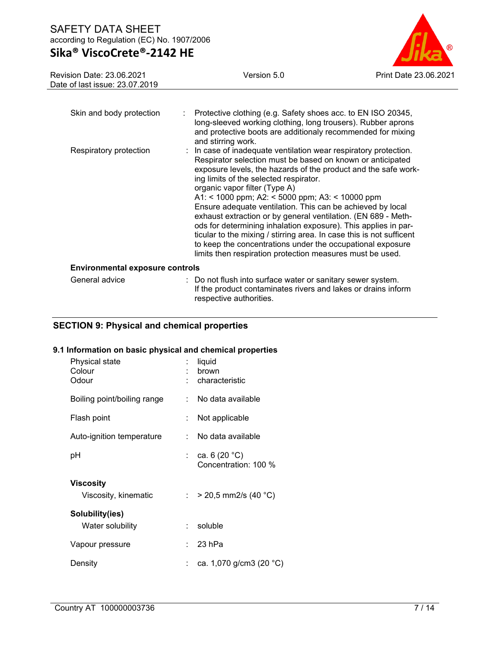# **Sika® ViscoCrete®-2142 HE**



| Revision Date: 23.06.2021<br>Date of last issue: 23.07.2019 | Version 5.0                                                                                                                                                                                                                                                                                                                                                                                                                                                                                                                                                                                                                                                                                                                        | <b>Print Date 23.06.2021</b> |
|-------------------------------------------------------------|------------------------------------------------------------------------------------------------------------------------------------------------------------------------------------------------------------------------------------------------------------------------------------------------------------------------------------------------------------------------------------------------------------------------------------------------------------------------------------------------------------------------------------------------------------------------------------------------------------------------------------------------------------------------------------------------------------------------------------|------------------------------|
|                                                             |                                                                                                                                                                                                                                                                                                                                                                                                                                                                                                                                                                                                                                                                                                                                    |                              |
| Skin and body protection                                    | Protective clothing (e.g. Safety shoes acc. to EN ISO 20345,<br>long-sleeved working clothing, long trousers). Rubber aprons<br>and protective boots are additionaly recommended for mixing<br>and stirring work.                                                                                                                                                                                                                                                                                                                                                                                                                                                                                                                  |                              |
| Respiratory protection                                      | : In case of inadequate ventilation wear respiratory protection.<br>Respirator selection must be based on known or anticipated<br>exposure levels, the hazards of the product and the safe work-<br>ing limits of the selected respirator.<br>organic vapor filter (Type A)<br>A1: < 1000 ppm; A2: < 5000 ppm; A3: < 10000 ppm<br>Ensure adequate ventilation. This can be achieved by local<br>exhaust extraction or by general ventilation. (EN 689 - Meth-<br>ods for determining inhalation exposure). This applies in par-<br>ticular to the mixing / stirring area. In case this is not sufficent<br>to keep the concentrations under the occupational exposure<br>limits then respiration protection measures must be used. |                              |
| <b>Environmental exposure controls</b>                      |                                                                                                                                                                                                                                                                                                                                                                                                                                                                                                                                                                                                                                                                                                                                    |                              |
| General advice                                              | : Do not flush into surface water or sanitary sewer system.<br>If the product contaminates rivers and lakes or drains inform                                                                                                                                                                                                                                                                                                                                                                                                                                                                                                                                                                                                       |                              |

respective authorities.

## **SECTION 9: Physical and chemical properties**

## **9.1 Information on basic physical and chemical properties**

| Physical state<br>Colour<br>Odour   | t. | liquid<br>brown<br>characteristic       |
|-------------------------------------|----|-----------------------------------------|
| Boiling point/boiling range         |    | : No data available                     |
| Flash point                         | t. | Not applicable                          |
| Auto-ignition temperature           | t. | No data available                       |
| рH                                  | t. | ca. 6 $(20 °C)$<br>Concentration: 100 % |
| Viscosity<br>Viscosity, kinematic   |    | : > 20,5 mm2/s (40 °C)                  |
| Solubility(ies)<br>Water solubility | t. | soluble                                 |
| Vapour pressure                     | t. | 23 hPa                                  |
| Density                             |    | ca. 1,070 g/cm3 (20 °C)                 |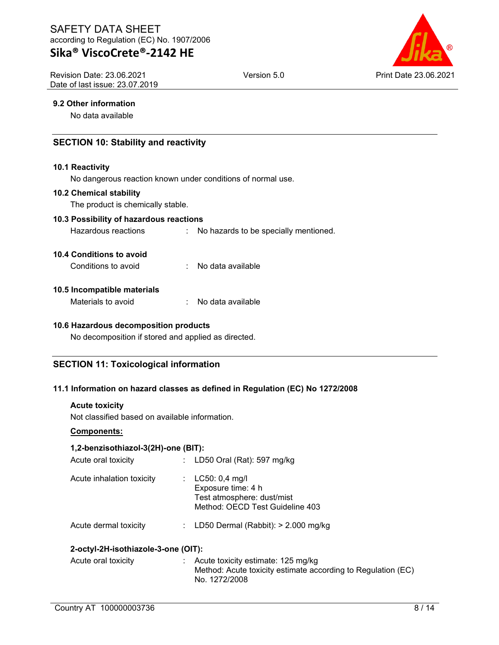## **Sika® ViscoCrete®-2142 HE**

Revision Date: 23.06.2021 Date of last issue: 23.07.2019



### **9.2 Other information**

No data available

## **SECTION 10: Stability and reactivity**

#### **10.1 Reactivity**

No dangerous reaction known under conditions of normal use.

#### **10.2 Chemical stability**

The product is chemically stable.

#### **10.3 Possibility of hazardous reactions**

Hazardous reactions : No hazards to be specially mentioned.

#### **10.4 Conditions to avoid**

Conditions to avoid : No data available

#### **10.5 Incompatible materials**

| Materials to avoid |  | No data available |
|--------------------|--|-------------------|
|--------------------|--|-------------------|

#### **10.6 Hazardous decomposition products**

No decomposition if stored and applied as directed.

## **SECTION 11: Toxicological information**

#### **11.1 Information on hazard classes as defined in Regulation (EC) No 1272/2008**

#### **Acute toxicity**

Not classified based on available information.

#### **Components:**

## **1,2-benzisothiazol-3(2H)-one (BIT):**

| Acute oral toxicity       | : LD50 Oral (Rat): 597 mg/kg                                                                              |
|---------------------------|-----------------------------------------------------------------------------------------------------------|
| Acute inhalation toxicity | : $LC50: 0,4$ mg/l<br>Exposure time: 4 h<br>Test atmosphere: dust/mist<br>Method: OECD Test Guideline 403 |
| Acute dermal toxicity     | : LD50 Dermal (Rabbit): $> 2.000$ mg/kg                                                                   |

## **2-octyl-2H-isothiazole-3-one (OIT):**

| Acute oral toxicity | : Acute toxicity estimate: 125 mg/kg                         |
|---------------------|--------------------------------------------------------------|
|                     | Method: Acute toxicity estimate according to Regulation (EC) |
|                     | No. 1272/2008                                                |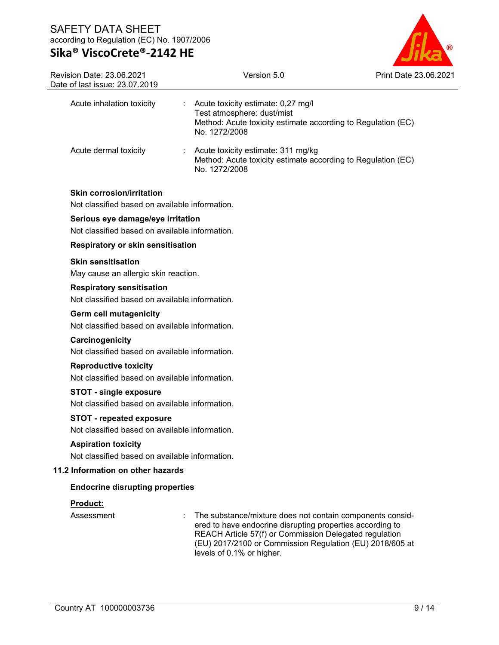

| Revision Date: 23.06.2021<br>Date of last issue: 23.07.2019                        | Version 5.0                                                                                                                                                                                                                                                               | <b>Print Date 23,06,2021</b> |  |  |  |
|------------------------------------------------------------------------------------|---------------------------------------------------------------------------------------------------------------------------------------------------------------------------------------------------------------------------------------------------------------------------|------------------------------|--|--|--|
| Acute inhalation toxicity                                                          | Acute toxicity estimate: 0,27 mg/l<br>Test atmosphere: dust/mist<br>Method: Acute toxicity estimate according to Regulation (EC)<br>No. 1272/2008                                                                                                                         |                              |  |  |  |
| Acute dermal toxicity                                                              | Acute toxicity estimate: 311 mg/kg<br>Method: Acute toxicity estimate according to Regulation (EC)<br>No. 1272/2008                                                                                                                                                       |                              |  |  |  |
| <b>Skin corrosion/irritation</b><br>Not classified based on available information. |                                                                                                                                                                                                                                                                           |                              |  |  |  |
| Serious eye damage/eye irritation                                                  |                                                                                                                                                                                                                                                                           |                              |  |  |  |
| Not classified based on available information.                                     |                                                                                                                                                                                                                                                                           |                              |  |  |  |
| <b>Respiratory or skin sensitisation</b>                                           |                                                                                                                                                                                                                                                                           |                              |  |  |  |
| <b>Skin sensitisation</b><br>May cause an allergic skin reaction.                  |                                                                                                                                                                                                                                                                           |                              |  |  |  |
| <b>Respiratory sensitisation</b><br>Not classified based on available information. |                                                                                                                                                                                                                                                                           |                              |  |  |  |
| <b>Germ cell mutagenicity</b><br>Not classified based on available information.    |                                                                                                                                                                                                                                                                           |                              |  |  |  |
| Carcinogenicity                                                                    | Not classified based on available information.                                                                                                                                                                                                                            |                              |  |  |  |
| <b>Reproductive toxicity</b>                                                       | Not classified based on available information.                                                                                                                                                                                                                            |                              |  |  |  |
| <b>STOT - single exposure</b>                                                      | Not classified based on available information.                                                                                                                                                                                                                            |                              |  |  |  |
| <b>STOT - repeated exposure</b><br>Not classified based on available information.  |                                                                                                                                                                                                                                                                           |                              |  |  |  |
| <b>Aspiration toxicity</b><br>Not classified based on available information.       |                                                                                                                                                                                                                                                                           |                              |  |  |  |
| 11.2 Information on other hazards                                                  |                                                                                                                                                                                                                                                                           |                              |  |  |  |
| <b>Endocrine disrupting properties</b>                                             |                                                                                                                                                                                                                                                                           |                              |  |  |  |
| Product:                                                                           |                                                                                                                                                                                                                                                                           |                              |  |  |  |
| Assessment                                                                         | The substance/mixture does not contain components consid-<br>ered to have endocrine disrupting properties according to<br>REACH Article 57(f) or Commission Delegated regulation<br>(EU) 2017/2100 or Commission Regulation (EU) 2018/605 at<br>levels of 0.1% or higher. |                              |  |  |  |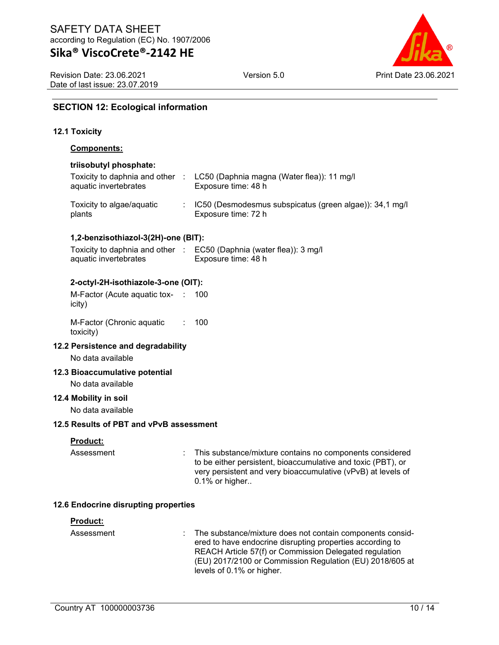Revision Date: 23.06.2021 Date of last issue: 23.07.2019



## **SECTION 12: Ecological information**

### **12.1 Toxicity**

#### **Components:**

#### **triisobutyl phosphate:**

| Toxicity to daphnia and other :<br>aquatic invertebrates | LC50 (Daphnia magna (Water flea)): 11 mg/l<br>Exposure time: 48 h                |
|----------------------------------------------------------|----------------------------------------------------------------------------------|
| Toxicity to algae/aquatic<br>plants                      | : IC50 (Desmodesmus subspicatus (green algae)): 34,1 mg/l<br>Exposure time: 72 h |

### **1,2-benzisothiazol-3(2H)-one (BIT):**

| Toxicity to daphnia and other | : EC50 (Daphnia (water flea)): 3 mg/l |
|-------------------------------|---------------------------------------|
| aquatic invertebrates         | Exposure time: 48 h                   |

### **2-octyl-2H-isothiazole-3-one (OIT):**

| M-Factor (Acute aquatic tox- : 100 |  |
|------------------------------------|--|
| icity)                             |  |
|                                    |  |

M-Factor (Chronic aquatic toxicity) : 100

#### **12.2 Persistence and degradability**

No data available

#### **12.3 Bioaccumulative potential**

No data available

### **12.4 Mobility in soil**

No data available

#### **12.5 Results of PBT and vPvB assessment**

#### **Product:**

Assessment : This substance/mixture contains no components considered to be either persistent, bioaccumulative and toxic (PBT), or very persistent and very bioaccumulative (vPvB) at levels of 0.1% or higher..

#### **12.6 Endocrine disrupting properties**

#### **Product:**

Assessment : The substance/mixture does not contain components considered to have endocrine disrupting properties according to REACH Article 57(f) or Commission Delegated regulation (EU) 2017/2100 or Commission Regulation (EU) 2018/605 at levels of 0.1% or higher.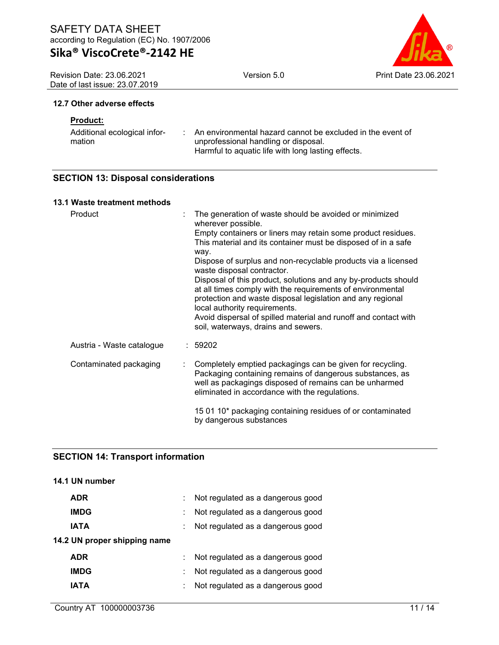Revision Date: 23.06.2021 Date of last issue: 23.07.2019



#### **12.7 Other adverse effects**

## **Product:**

| Additional ecological infor- | An environmental hazard cannot be excluded in the event of |
|------------------------------|------------------------------------------------------------|
| mation                       | unprofessional handling or disposal.                       |
|                              | Harmful to aquatic life with long lasting effects.         |

## **SECTION 13: Disposal considerations**

## **13.1 Waste treatment methods**

| Product                   | The generation of waste should be avoided or minimized<br>wherever possible.                                                                                                                                                                                                                   |
|---------------------------|------------------------------------------------------------------------------------------------------------------------------------------------------------------------------------------------------------------------------------------------------------------------------------------------|
|                           | Empty containers or liners may retain some product residues.<br>This material and its container must be disposed of in a safe<br>way.                                                                                                                                                          |
|                           | Dispose of surplus and non-recyclable products via a licensed<br>waste disposal contractor.                                                                                                                                                                                                    |
|                           | Disposal of this product, solutions and any by-products should<br>at all times comply with the requirements of environmental<br>protection and waste disposal legislation and any regional<br>local authority requirements.<br>Avoid dispersal of spilled material and runoff and contact with |
|                           | soil, waterways, drains and sewers.                                                                                                                                                                                                                                                            |
| Austria - Waste catalogue | :59202                                                                                                                                                                                                                                                                                         |
| Contaminated packaging    | Completely emptied packagings can be given for recycling.<br>Packaging containing remains of dangerous substances, as<br>well as packagings disposed of remains can be unharmed<br>eliminated in accordance with the regulations.                                                              |
|                           | 15 01 10* packaging containing residues of or contaminated<br>by dangerous substances                                                                                                                                                                                                          |

## **SECTION 14: Transport information**

## **14.1 UN number**

| t. | Not regulated as a dangerous good |
|----|-----------------------------------|
|    | Not regulated as a dangerous good |
|    | Not regulated as a dangerous good |
|    |                                   |
| ÷. | Not regulated as a dangerous good |
|    | Not regulated as a dangerous good |
| t. | Not regulated as a dangerous good |
|    |                                   |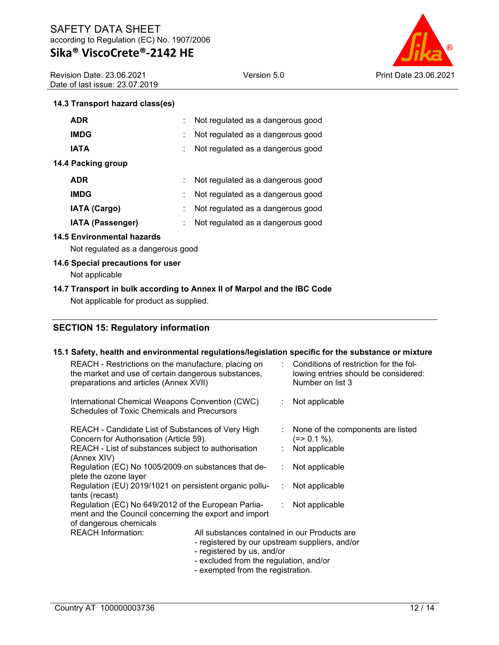Revision Date: 23.06.2021 Date of last issue: 23.07.2019



## **14.3 Transport hazard class(es)**

| <b>ADR</b>              |    | Not regulated as a dangerous good |
|-------------------------|----|-----------------------------------|
| <b>IMDG</b>             |    | Not regulated as a dangerous good |
| <b>IATA</b>             |    | Not regulated as a dangerous good |
| 14.4 Packing group      |    |                                   |
| <b>ADR</b>              |    | Not regulated as a dangerous good |
| <b>IMDG</b>             |    | Not regulated as a dangerous good |
| <b>IATA (Cargo)</b>     | ÷. | Not regulated as a dangerous good |
| <b>IATA (Passenger)</b> |    | Not regulated as a dangerous good |

### **14.5 Environmental hazards**

Not regulated as a dangerous good

### **14.6 Special precautions for user**

Not applicable

## **14.7 Transport in bulk according to Annex II of Marpol and the IBC Code**

Not applicable for product as supplied.

## **SECTION 15: Regulatory information**

## **15.1 Safety, health and environmental regulations/legislation specific for the substance or mixture**

| REACH - Restrictions on the manufacture, placing on<br>the market and use of certain dangerous substances,<br>preparations and articles (Annex XVII)                                                |  |  | $\therefore$ Conditions of restriction for the fol-<br>lowing entries should be considered:<br>Number on list 3 |
|-----------------------------------------------------------------------------------------------------------------------------------------------------------------------------------------------------|--|--|-----------------------------------------------------------------------------------------------------------------|
| International Chemical Weapons Convention (CWC)<br>Schedules of Toxic Chemicals and Precursors                                                                                                      |  |  | : Not applicable                                                                                                |
| REACH - Candidate List of Substances of Very High<br>Concern for Authorisation (Article 59).                                                                                                        |  |  | : None of the components are listed<br>$(=>0.1\%).$                                                             |
| REACH - List of substances subject to authorisation<br>(Annex XIV)                                                                                                                                  |  |  | $:$ Not applicable                                                                                              |
| Regulation (EC) No 1005/2009 on substances that de-<br>plete the ozone layer                                                                                                                        |  |  | : Not applicable                                                                                                |
| Regulation (EU) 2019/1021 on persistent organic pollu-<br>tants (recast)                                                                                                                            |  |  | : Not applicable                                                                                                |
| Regulation (EC) No 649/2012 of the European Parlia-<br>ment and the Council concerning the export and import<br>of dangerous chemicals                                                              |  |  | $:$ Not applicable                                                                                              |
| <b>REACH Information:</b><br>All substances contained in our Products are<br>- registered by our upstream suppliers, and/or<br>- registered by us, and/or<br>- excluded from the regulation, and/or |  |  |                                                                                                                 |

- exempted from the registration.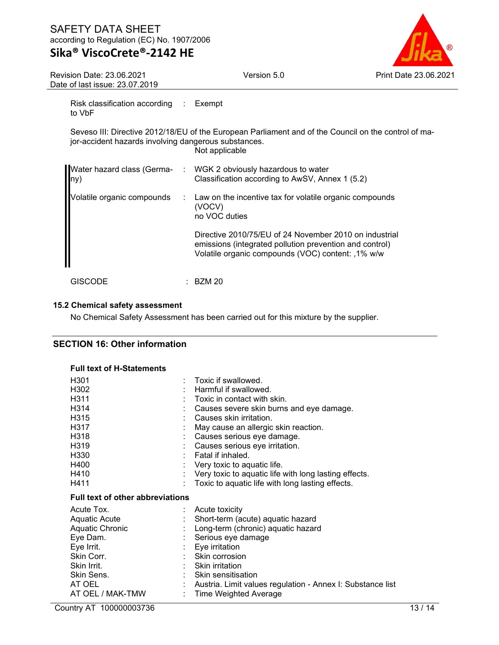## **Sika® ViscoCrete®-2142 HE**

Version 5.0 Print Date 23.06.2021

Revision Date: 23.06.2021 Date of last issue: 23.07.2019

Risk classification according : Exempt to VbF

Seveso III: Directive 2012/18/EU of the European Parliament and of the Council on the control of major-accident hazards involving dangerous substances. Not applicable

| lny)                       |    | Water hazard class (Germa- : WGK 2 obviously hazardous to water<br>Classification according to AwSV, Annex 1 (5.2)                                                     |
|----------------------------|----|------------------------------------------------------------------------------------------------------------------------------------------------------------------------|
| Volatile organic compounds | ÷. | Law on the incentive tax for volatile organic compounds<br>(VOCV)<br>no VOC duties                                                                                     |
|                            |    | Directive 2010/75/EU of 24 November 2010 on industrial<br>emissions (integrated pollution prevention and control)<br>Volatile organic compounds (VOC) content: ,1% w/w |
| GISCODE                    |    | BZM 20                                                                                                                                                                 |

## **15.2 Chemical safety assessment**

No Chemical Safety Assessment has been carried out for this mixture by the supplier.

## **SECTION 16: Other information**

#### **Full text of H-Statements**

| H <sub>301</sub>                        | Toxic if swallowed.                                          |
|-----------------------------------------|--------------------------------------------------------------|
| H302                                    | Harmful if swallowed.                                        |
| H311                                    | Toxic in contact with skin.                                  |
| H <sub>3</sub> 14                       | Causes severe skin burns and eye damage.                     |
| H <sub>3</sub> 15                       | Causes skin irritation.                                      |
| H317                                    | May cause an allergic skin reaction.                         |
| H318                                    | Causes serious eye damage.                                   |
| H <sub>3</sub> 19                       | Causes serious eye irritation.                               |
| H <sub>330</sub>                        | : Fatal if inhaled.                                          |
| H400                                    | Very toxic to aquatic life.                                  |
| H410                                    | Very toxic to aquatic life with long lasting effects.        |
| H411                                    | Toxic to aquatic life with long lasting effects.             |
|                                         |                                                              |
| <b>Full text of other abbreviations</b> |                                                              |
| Acute Tox.                              | Acute toxicity                                               |
| Aquatic Acute                           | Short-term (acute) aquatic hazard                            |
| Aquatic Chronic                         | Long-term (chronic) aquatic hazard                           |
| Eye Dam.                                | Serious eye damage                                           |
| Eye Irrit.                              | : Eye irritation                                             |
| Skin Corr.                              | $:$ Skin corrosion                                           |
| Skin Irrit.                             | $:$ Skin irritation                                          |
| Skin Sens.                              | : Skin sensitisation                                         |
| AT OEL                                  | : Austria. Limit values regulation - Annex I: Substance list |